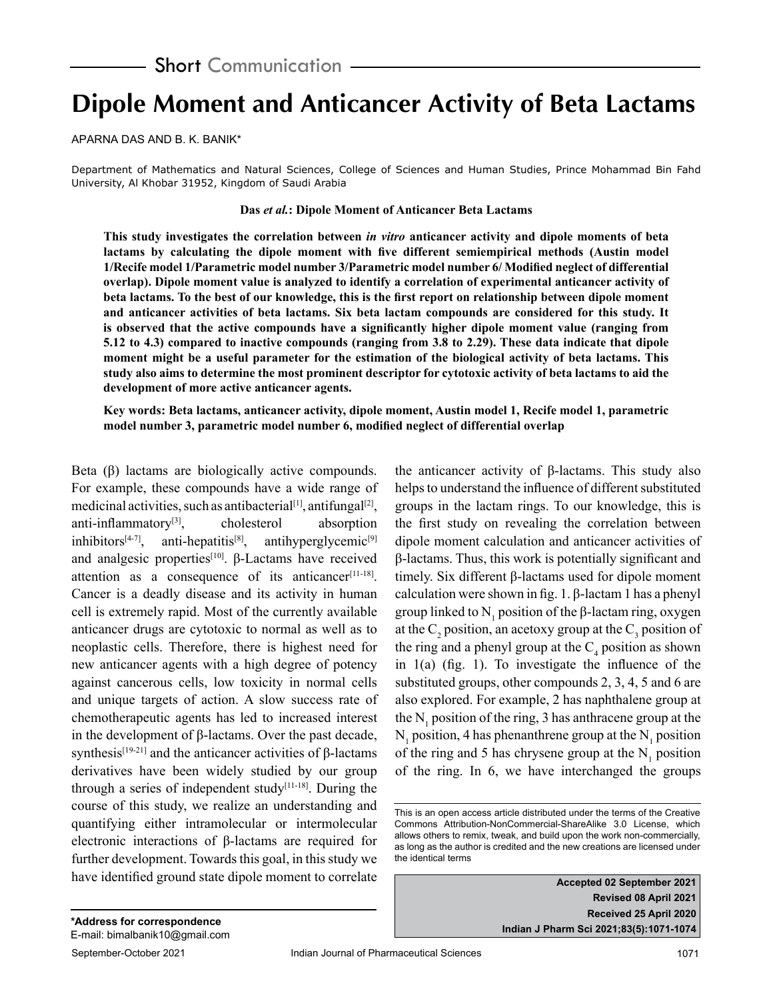# **Dipole Moment and Anticancer Activity of Beta Lactams**

APARNA DAS AND B. K. BANIK\*

Department of Mathematics and Natural Sciences, College of Sciences and Human Studies, Prince Mohammad Bin Fahd University, Al Khobar 31952, Kingdom of Saudi Arabia

#### **Das** *et al.***: Dipole Moment of Anticancer Beta Lactams**

**This study investigates the correlation between** *in vitro* **anticancer activity and dipole moments of beta lactams by calculating the dipole moment with five different semiempirical methods (Austin model 1/Recife model 1/Parametric model number 3/Parametric model number 6/ Modified neglect of differential overlap). Dipole moment value is analyzed to identify a correlation of experimental anticancer activity of beta lactams. To the best of our knowledge, this is the first report on relationship between dipole moment and anticancer activities of beta lactams. Six beta lactam compounds are considered for this study. It is observed that the active compounds have a significantly higher dipole moment value (ranging from 5.12 to 4.3) compared to inactive compounds (ranging from 3.8 to 2.29). These data indicate that dipole moment might be a useful parameter for the estimation of the biological activity of beta lactams. This study also aims to determine the most prominent descriptor for cytotoxic activity of beta lactams to aid the development of more active anticancer agents.**

**Key words: Beta lactams, anticancer activity, dipole moment, Austin model 1, Recife model 1, parametric model number 3, parametric model number 6, modified neglect of differential overlap**

Beta (β) lactams are biologically active compounds. For example, these compounds have a wide range of medicinal activities, such as antibacterial<sup>[1]</sup>, antifungal<sup>[2]</sup>, anti-inflammatory<sup>[3]</sup>, cholesterol absorption inhibitors<sup>[4-7]</sup>, anti-hepatitis<sup>[8]</sup>, antihyperglycemic<sup>[9]</sup> and analgesic properties<sup>[10]</sup>. β-Lactams have received attention as a consequence of its anticancer $[11-18]$ . Cancer is a deadly disease and its activity in human cell is extremely rapid. Most of the currently available anticancer drugs are cytotoxic to normal as well as to neoplastic cells. Therefore, there is highest need for new anticancer agents with a high degree of potency against cancerous cells, low toxicity in normal cells and unique targets of action. A slow success rate of chemotherapeutic agents has led to increased interest in the development of β-lactams. Over the past decade, synthesis[19-21] and the anticancer activities of β-lactams derivatives have been widely studied by our group through a series of independent study<sup>[11-18]</sup>. During the course of this study, we realize an understanding and quantifying either intramolecular or intermolecular electronic interactions of β-lactams are required for further development. Towards this goal, in this study we have identified ground state dipole moment to correlate the anticancer activity of β-lactams. This study also helps to understand the influence of different substituted groups in the lactam rings. To our knowledge, this is the first study on revealing the correlation between dipole moment calculation and anticancer activities of β-lactams. Thus, this work is potentially significant and timely. Six different β-lactams used for dipole moment calculation were shown in fig. 1. β-lactam 1 has a phenyl group linked to  $N_1$  position of the β-lactam ring, oxygen at the  $C_2$  position, an acetoxy group at the  $C_3$  position of the ring and a phenyl group at the  $C_4$  position as shown in  $1(a)$  (fig. 1). To investigate the influence of the substituted groups, other compounds 2, 3, 4, 5 and 6 are also explored. For example, 2 has naphthalene group at the  $N_1$  position of the ring, 3 has anthracene group at the  $N_1$  position, 4 has phenanthrene group at the  $N_1$  position of the ring and 5 has chrysene group at the  $N_1$  position of the ring. In 6, we have interchanged the groups

**Accepted 02 September 2021 Revised 08 April 2021 Received 25 April 2020 Indian J Pharm Sci 2021;83(5):1071-1074**

This is an open access article distributed under the terms of the Creative Commons Attribution-NonCommercial-ShareAlike 3.0 License, which allows others to remix, tweak, and build upon the work non-commercially, as long as the author is credited and the new creations are licensed under the identical terms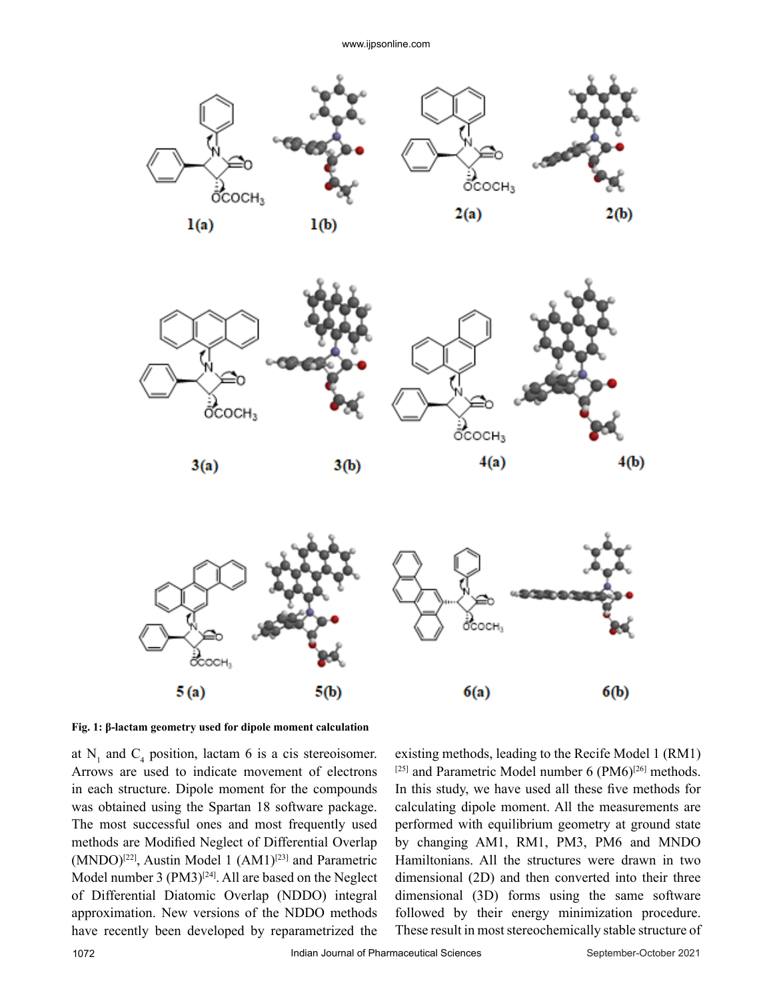





**Fig. 1: β-lactam geometry used for dipole moment calculation**

at  $N_1$  and  $C_4$  position, lactam 6 is a cis stereoisomer. Arrows are used to indicate movement of electrons in each structure. Dipole moment for the compounds was obtained using the Spartan 18 software package. The most successful ones and most frequently used methods are Modified Neglect of Differential Overlap (MNDO)<sup>[22]</sup>, Austin Model 1 (AM1)<sup>[23]</sup> and Parametric Model number 3 (PM3)<sup>[24]</sup>. All are based on the Neglect of Differential Diatomic Overlap (NDDO) integral approximation. New versions of the NDDO methods have recently been developed by reparametrized the

existing methods, leading to the Recife Model 1 [\(RM1\)](http://www.rm1.sparkle.pro.br/)  $[25]$  and Parametric Model number 6 (PM6)<sup>[26]</sup> methods. In this study, we have used all these five methods for calculating dipole moment. All the measurements are performed with equilibrium geometry at ground state by changing AM1, RM1, PM3, PM6 and MNDO Hamiltonians. All the structures were drawn in two dimensional (2D) and then converted into their three dimensional (3D) forms using the same software followed by their energy minimization procedure. These result in most stereochemically stable structure of

4(b)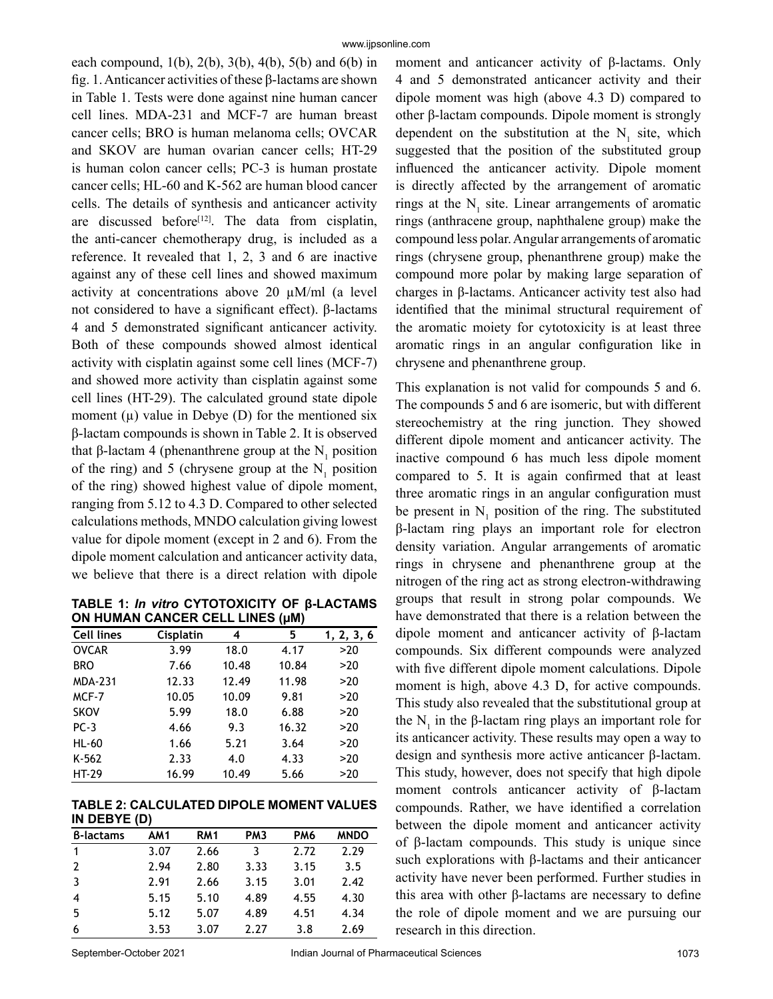each compound,  $1(b)$ ,  $2(b)$ ,  $3(b)$ ,  $4(b)$ ,  $5(b)$  and  $6(b)$  in fig. 1. Anticancer activities of these β-lactams are shown in Table 1. Tests were done against nine human cancer cell lines. MDA-231 and MCF-7 are human breast cancer cells; BRO is human melanoma cells; OVCAR and SKOV are human ovarian cancer cells; HT-29 is human colon cancer cells; PC-3 is human prostate cancer cells; HL-60 and K-562 are human blood cancer cells. The details of synthesis and anticancer activity are discussed before<sup>[12]</sup>. The data from cisplatin, the anti-cancer chemotherapy drug, is included as a reference. It revealed that 1, 2, 3 and 6 are inactive against any of these cell lines and showed maximum activity at concentrations above 20 µM/ml (a level not considered to have a significant effect). β-lactams 4 and 5 demonstrated significant anticancer activity. Both of these compounds showed almost identical activity with cisplatin against some cell lines (MCF-7) and showed more activity than cisplatin against some cell lines (HT-29). The calculated ground state dipole moment  $(\mu)$  value in Debye  $(D)$  for the mentioned six β-lactam compounds is shown in Table 2. It is observed that β-lactam 4 (phenanthrene group at the  $N_1$  position of the ring) and 5 (chrysene group at the  $N_1$  position of the ring) showed highest value of dipole moment, ranging from 5.12 to 4.3 D. Compared to other selected calculations methods, MNDO calculation giving lowest value for dipole moment (except in 2 and 6). From the dipole moment calculation and anticancer activity data, we believe that there is a direct relation with dipole

**TABLE 1:** *In vitro* **CYTOTOXICITY OF β-LACTAMS ON HUMAN CANCER CELL LINES (µM)**

| <b>Cell lines</b> | Cisplatin | 4     | 5     | 1, 2, 3, 6 |
|-------------------|-----------|-------|-------|------------|
| <b>OVCAR</b>      | 3.99      | 18.0  | 4.17  | >20        |
| <b>BRO</b>        | 7.66      | 10.48 | 10.84 | >20        |
| <b>MDA-231</b>    | 12.33     | 12.49 | 11.98 | >20        |
| MCF-7             | 10.05     | 10.09 | 9.81  | >20        |
| <b>SKOV</b>       | 5.99      | 18.0  | 6.88  | >20        |
| $PC-3$            | 4.66      | 9.3   | 16.32 | >20        |
| <b>HL-60</b>      | 1.66      | 5.21  | 3.64  | >20        |
| K-562             | 2.33      | 4.0   | 4.33  | >20        |
| HT-29             | 16.99     | 10.49 | 5.66  | >20        |

#### **TABLE 2: CALCULATED DIPOLE MOMENT VALUES IN DEBYE (D)**

| <b>B-lactams</b>   | AM1  | <b>RM1</b> | PM <sub>3</sub> | PM <sub>6</sub> | <b>MNDO</b> |
|--------------------|------|------------|-----------------|-----------------|-------------|
|                    | 3.07 | 2.66       | 3               | 2.72            | 2.29        |
| $\overline{2}$     | 2.94 | 2.80       | 3.33            | 3.15            | 3.5         |
| -3                 | 2.91 | 2.66       | 3.15            | 3.01            | 2.42        |
| $\overline{\bf 4}$ | 5.15 | 5.10       | 4.89            | 4.55            | 4.30        |
| -5                 | 5.12 | 5.07       | 4.89            | 4.51            | 4.34        |
| 6                  | 3.53 | 3.07       | 2.27            | 3.8             | 2.69        |

moment and anticancer activity of β-lactams. Only 4 and 5 demonstrated anticancer activity and their dipole moment was high (above 4.3 D) compared to other β-lactam compounds. Dipole moment is strongly dependent on the substitution at the  $N_1$  site, which suggested that the position of the substituted group influenced the anticancer activity. Dipole moment is directly affected by the arrangement of aromatic rings at the  $N_1$  site. Linear arrangements of aromatic rings (anthracene group, naphthalene group) make the compound less polar. Angular arrangements of aromatic rings (chrysene group, phenanthrene group) make the compound more polar by making large separation of charges in β-lactams. Anticancer activity test also had identified that the minimal structural requirement of the aromatic moiety for cytotoxicity is at least three aromatic rings in an angular configuration like in chrysene and phenanthrene group.

This explanation is not valid for compounds 5 and 6. The compounds 5 and 6 are isomeric, but with different stereochemistry at the ring junction. They showed different dipole moment and anticancer activity. The inactive compound 6 has much less dipole moment compared to 5. It is again confirmed that at least three aromatic rings in an angular configuration must be present in  $N_1$  position of the ring. The substituted β-lactam ring plays an important role for electron density variation. Angular arrangements of aromatic rings in chrysene and phenanthrene group at the nitrogen of the ring act as strong electron-withdrawing groups that result in strong polar compounds. We have demonstrated that there is a relation between the dipole moment and anticancer activity of β-lactam compounds. Six different compounds were analyzed with five different dipole moment calculations. Dipole moment is high, above 4.3 D, for active compounds. This study also revealed that the substitutional group at the  $N_1$  in the β-lactam ring plays an important role for its anticancer activity. These results may open a way to design and synthesis more active anticancer β-lactam. This study, however, does not specify that high dipole moment controls anticancer activity of β-lactam compounds. Rather, we have identified a correlation between the dipole moment and anticancer activity of β-lactam compounds. This study is unique since such explorations with  $β$ -lactams and their anticancer activity have never been performed. Further studies in this area with other β-lactams are necessary to define the role of dipole moment and we are pursuing our research in this direction.